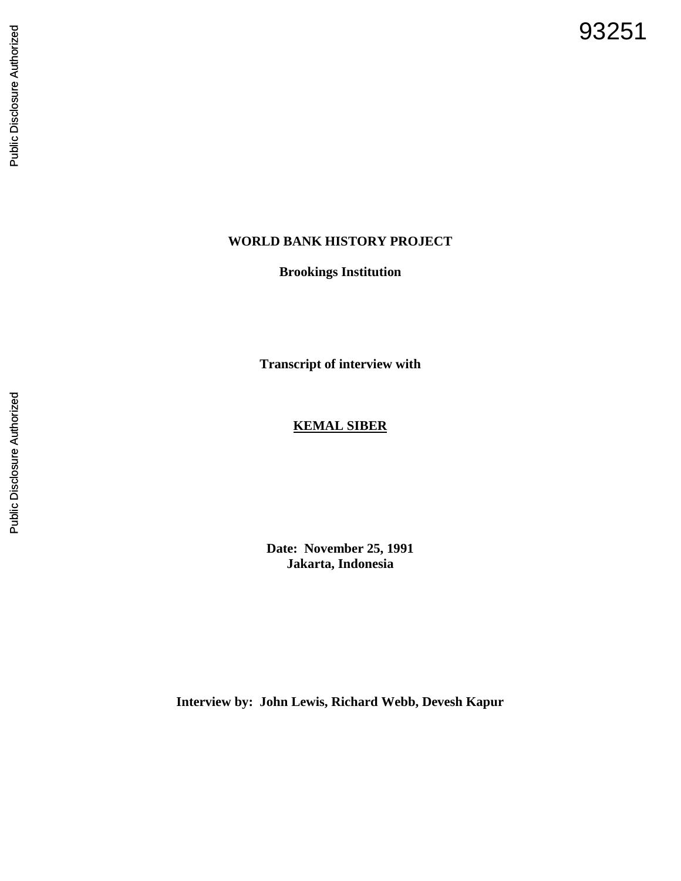93251

# **WORLD BANK HISTORY PROJECT**

**Brookings Institution**

**Transcript of interview with**

# **KEMAL SIBER**

**Date: November 25, 1991 Jakarta, Indonesia**

**Interview by: John Lewis, Richard Webb, Devesh Kapur**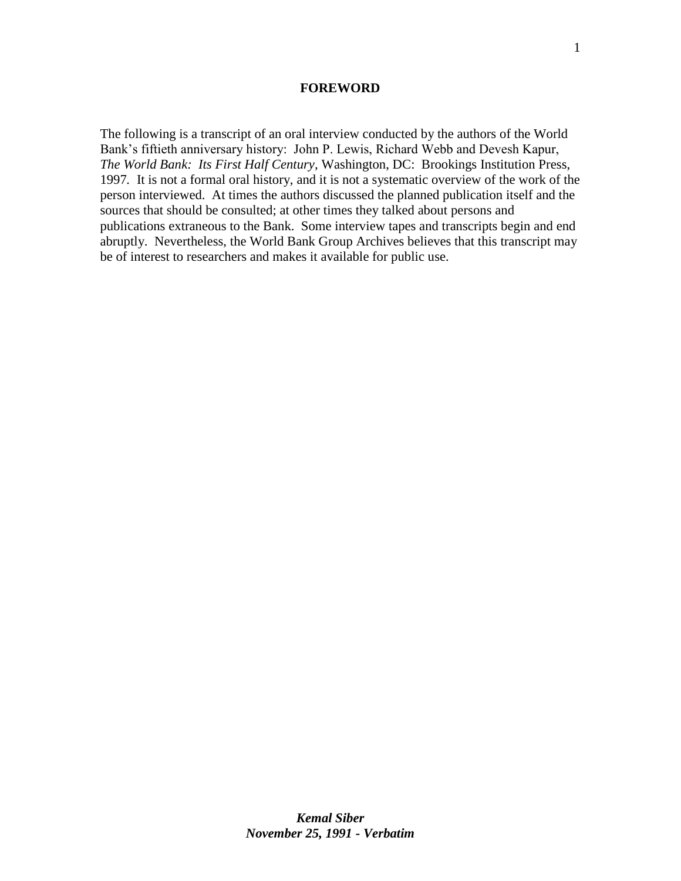#### **FOREWORD**

The following is a transcript of an oral interview conducted by the authors of the World Bank's fiftieth anniversary history: John P. Lewis, Richard Webb and Devesh Kapur, *The World Bank: Its First Half Century,* Washington, DC: Brookings Institution Press, 1997*.* It is not a formal oral history, and it is not a systematic overview of the work of the person interviewed. At times the authors discussed the planned publication itself and the sources that should be consulted; at other times they talked about persons and publications extraneous to the Bank. Some interview tapes and transcripts begin and end abruptly. Nevertheless, the World Bank Group Archives believes that this transcript may be of interest to researchers and makes it available for public use.

1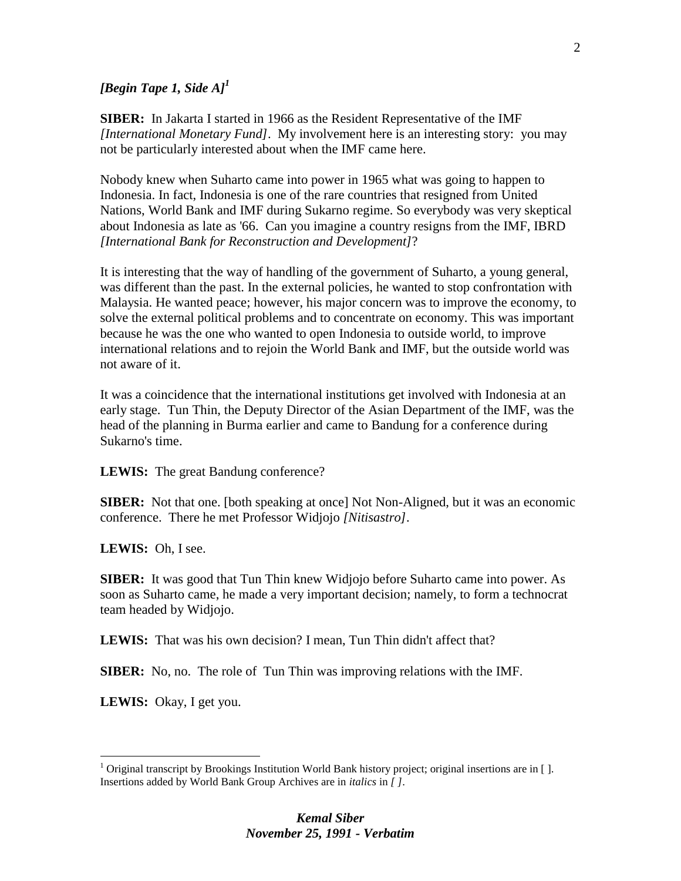## *[Begin Tape 1, Side A]<sup>1</sup>*

**SIBER:** In Jakarta I started in 1966 as the Resident Representative of the IMF *[International Monetary Fund]*. My involvement here is an interesting story: you may not be particularly interested about when the IMF came here.

Nobody knew when Suharto came into power in 1965 what was going to happen to Indonesia. In fact, Indonesia is one of the rare countries that resigned from United Nations, World Bank and IMF during Sukarno regime. So everybody was very skeptical about Indonesia as late as '66. Can you imagine a country resigns from the IMF, IBRD *[International Bank for Reconstruction and Development]*?

It is interesting that the way of handling of the government of Suharto, a young general, was different than the past. In the external policies, he wanted to stop confrontation with Malaysia. He wanted peace; however, his major concern was to improve the economy, to solve the external political problems and to concentrate on economy. This was important because he was the one who wanted to open Indonesia to outside world, to improve international relations and to rejoin the World Bank and IMF, but the outside world was not aware of it.

It was a coincidence that the international institutions get involved with Indonesia at an early stage. Tun Thin, the Deputy Director of the Asian Department of the IMF, was the head of the planning in Burma earlier and came to Bandung for a conference during Sukarno's time.

**LEWIS:** The great Bandung conference?

**SIBER:** Not that one. [both speaking at once] Not Non-Aligned, but it was an economic conference. There he met Professor Widjojo *[Nitisastro]*.

LEWIS: Oh, I see.

**SIBER:** It was good that Tun Thin knew Widjojo before Suharto came into power. As soon as Suharto came, he made a very important decision; namely, to form a technocrat team headed by Widjojo.

**LEWIS:** That was his own decision? I mean, Tun Thin didn't affect that?

**SIBER:** No, no. The role of Tun Thin was improving relations with the IMF.

**LEWIS:** Okay, I get you.

 $\overline{a}$ 

<sup>&</sup>lt;sup>1</sup> Original transcript by Brookings Institution World Bank history project; original insertions are in []. Insertions added by World Bank Group Archives are in *italics* in *[ ]*.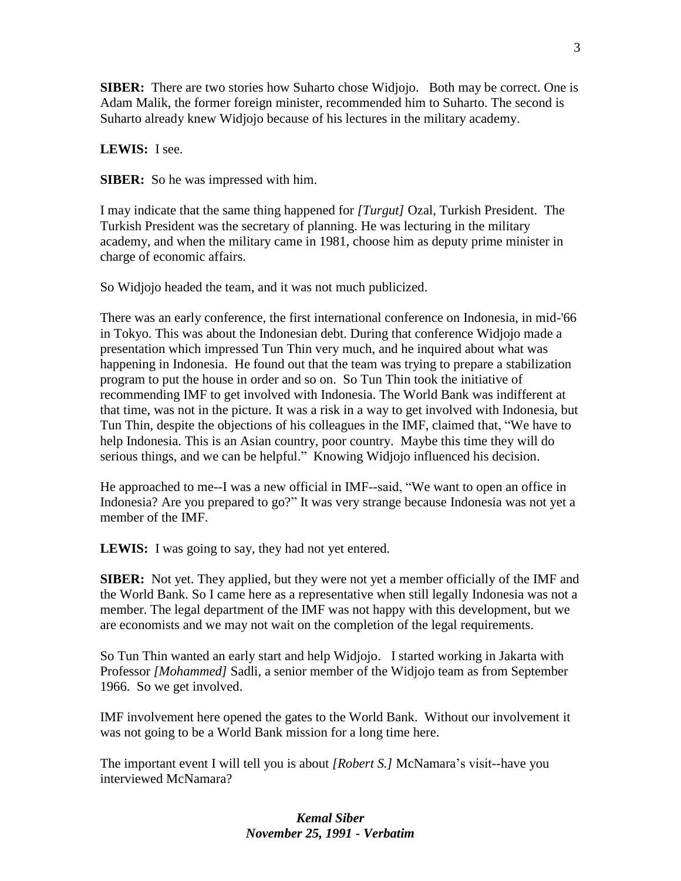**SIBER:** There are two stories how Suharto chose Widjojo. Both may be correct. One is Adam Malik, the former foreign minister, recommended him to Suharto. The second is Suharto already knew Widjojo because of his lectures in the military academy.

**LEWIS:** I see.

**SIBER:** So he was impressed with him.

I may indicate that the same thing happened for *[Turgut]* Ozal, Turkish President. The Turkish President was the secretary of planning. He was lecturing in the military academy, and when the military came in 1981, choose him as deputy prime minister in charge of economic affairs.

So Widjojo headed the team, and it was not much publicized.

There was an early conference, the first international conference on Indonesia, in mid-'66 in Tokyo. This was about the Indonesian debt. During that conference Widjojo made a presentation which impressed Tun Thin very much, and he inquired about what was happening in Indonesia. He found out that the team was trying to prepare a stabilization program to put the house in order and so on. So Tun Thin took the initiative of recommending IMF to get involved with Indonesia. The World Bank was indifferent at that time, was not in the picture. It was a risk in a way to get involved with Indonesia, but Tun Thin, despite the objections of his colleagues in the IMF, claimed that, "We have to help Indonesia. This is an Asian country, poor country. Maybe this time they will do serious things, and we can be helpful." Knowing Widjojo influenced his decision.

He approached to me--I was a new official in IMF--said, "We want to open an office in Indonesia? Are you prepared to go?" It was very strange because Indonesia was not yet a member of the IMF.

**LEWIS:** I was going to say, they had not yet entered.

**SIBER:** Not yet. They applied, but they were not yet a member officially of the IMF and the World Bank. So I came here as a representative when still legally Indonesia was not a member. The legal department of the IMF was not happy with this development, but we are economists and we may not wait on the completion of the legal requirements.

So Tun Thin wanted an early start and help Widjojo. I started working in Jakarta with Professor *[Mohammed]* Sadli, a senior member of the Widjojo team as from September 1966. So we get involved.

IMF involvement here opened the gates to the World Bank. Without our involvement it was not going to be a World Bank mission for a long time here.

The important event I will tell you is about *[Robert S.]* McNamara's visit--have you interviewed McNamara?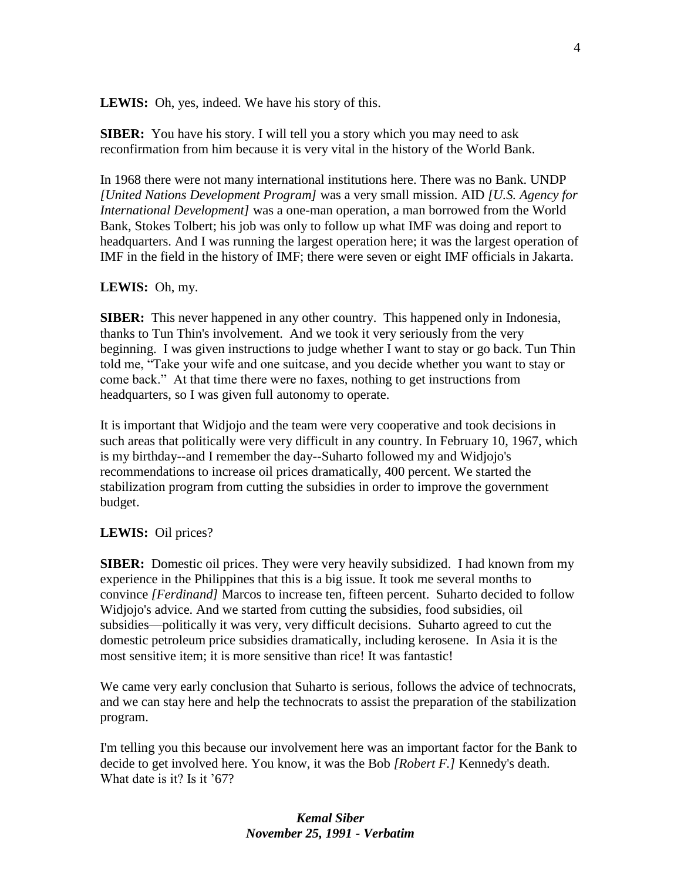LEWIS: Oh, yes, indeed. We have his story of this.

**SIBER:** You have his story. I will tell you a story which you may need to ask reconfirmation from him because it is very vital in the history of the World Bank.

In 1968 there were not many international institutions here. There was no Bank. UNDP *[United Nations Development Program]* was a very small mission. AID *[U.S. Agency for International Development]* was a one-man operation, a man borrowed from the World Bank, Stokes Tolbert; his job was only to follow up what IMF was doing and report to headquarters. And I was running the largest operation here; it was the largest operation of IMF in the field in the history of IMF; there were seven or eight IMF officials in Jakarta.

#### **LEWIS:** Oh, my.

**SIBER:** This never happened in any other country. This happened only in Indonesia, thanks to Tun Thin's involvement. And we took it very seriously from the very beginning. I was given instructions to judge whether I want to stay or go back. Tun Thin told me, "Take your wife and one suitcase, and you decide whether you want to stay or come back." At that time there were no faxes, nothing to get instructions from headquarters, so I was given full autonomy to operate.

It is important that Widjojo and the team were very cooperative and took decisions in such areas that politically were very difficult in any country. In February 10, 1967, which is my birthday--and I remember the day--Suharto followed my and Widjojo's recommendations to increase oil prices dramatically, 400 percent. We started the stabilization program from cutting the subsidies in order to improve the government budget.

#### **LEWIS:** Oil prices?

**SIBER:** Domestic oil prices. They were very heavily subsidized. I had known from my experience in the Philippines that this is a big issue. It took me several months to convince *[Ferdinand]* Marcos to increase ten, fifteen percent. Suharto decided to follow Widjojo's advice. And we started from cutting the subsidies, food subsidies, oil subsidies—politically it was very, very difficult decisions. Suharto agreed to cut the domestic petroleum price subsidies dramatically, including kerosene. In Asia it is the most sensitive item; it is more sensitive than rice! It was fantastic!

We came very early conclusion that Suharto is serious, follows the advice of technocrats, and we can stay here and help the technocrats to assist the preparation of the stabilization program.

I'm telling you this because our involvement here was an important factor for the Bank to decide to get involved here. You know, it was the Bob *[Robert F.]* Kennedy's death. What date is it? Is it '67?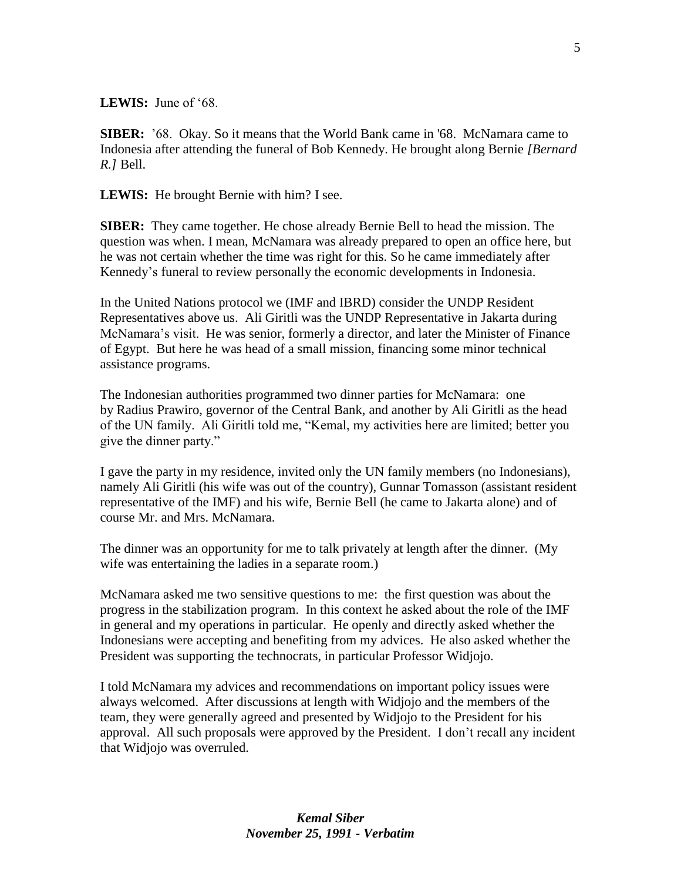**LEWIS:** June of '68.

**SIBER:** '68.Okay. So it means that the World Bank came in '68. McNamara came to Indonesia after attending the funeral of Bob Kennedy. He brought along Bernie *[Bernard R.]* Bell.

**LEWIS:** He brought Bernie with him? I see.

**SIBER:** They came together. He chose already Bernie Bell to head the mission. The question was when. I mean, McNamara was already prepared to open an office here, but he was not certain whether the time was right for this. So he came immediately after Kennedy's funeral to review personally the economic developments in Indonesia.

In the United Nations protocol we (IMF and IBRD) consider the UNDP Resident Representatives above us. Ali Giritli was the UNDP Representative in Jakarta during McNamara's visit. He was senior, formerly a director, and later the Minister of Finance of Egypt. But here he was head of a small mission, financing some minor technical assistance programs.

The Indonesian authorities programmed two dinner parties for McNamara: one by Radius Prawiro, governor of the Central Bank, and another by Ali Giritli as the head of the UN family. Ali Giritli told me, "Kemal, my activities here are limited; better you give the dinner party."

I gave the party in my residence, invited only the UN family members (no Indonesians), namely Ali Giritli (his wife was out of the country), Gunnar Tomasson (assistant resident representative of the IMF) and his wife, Bernie Bell (he came to Jakarta alone) and of course Mr. and Mrs. McNamara.

The dinner was an opportunity for me to talk privately at length after the dinner. (My wife was entertaining the ladies in a separate room.)

McNamara asked me two sensitive questions to me: the first question was about the progress in the stabilization program. In this context he asked about the role of the IMF in general and my operations in particular. He openly and directly asked whether the Indonesians were accepting and benefiting from my advices. He also asked whether the President was supporting the technocrats, in particular Professor Widjojo.

I told McNamara my advices and recommendations on important policy issues were always welcomed. After discussions at length with Widjojo and the members of the team, they were generally agreed and presented by Widjojo to the President for his approval. All such proposals were approved by the President. I don't recall any incident that Widjojo was overruled.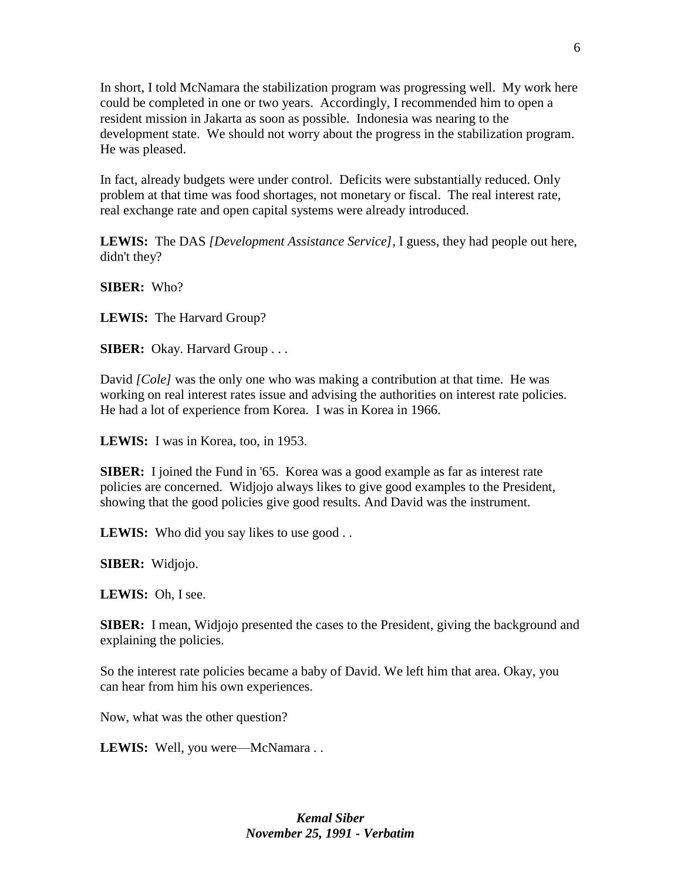In short, I told McNamara the stabilization program was progressing well. My work here could be completed in one or two years. Accordingly, I recommended him to open a resident mission in Jakarta as soon as possible. Indonesia was nearing to the development state. We should not worry about the progress in the stabilization program. He was pleased.

In fact, already budgets were under control. Deficits were substantially reduced. Only problem at that time was food shortages, not monetary or fiscal. The real interest rate, real exchange rate and open capital systems were already introduced.

**LEWIS:** The DAS *[Development Assistance Service]*, I guess, they had people out here, didn't they?

**SIBER:** Who?

**LEWIS:** The Harvard Group?

**SIBER:** Okay. Harvard Group . . .

David *[Cole]* was the only one who was making a contribution at that time. He was working on real interest rates issue and advising the authorities on interest rate policies. He had a lot of experience from Korea. I was in Korea in 1966.

**LEWIS:** I was in Korea, too, in 1953.

**SIBER:** I joined the Fund in '65. Korea was a good example as far as interest rate policies are concerned. Widjojo always likes to give good examples to the President, showing that the good policies give good results. And David was the instrument.

**LEWIS:** Who did you say likes to use good . .

**SIBER:** Widjojo.

**LEWIS:** Oh, I see.

**SIBER:** I mean, Widjojo presented the cases to the President, giving the background and explaining the policies.

So the interest rate policies became a baby of David. We left him that area. Okay, you can hear from him his own experiences.

Now, what was the other question?

LEWIS: Well, you were—McNamara . .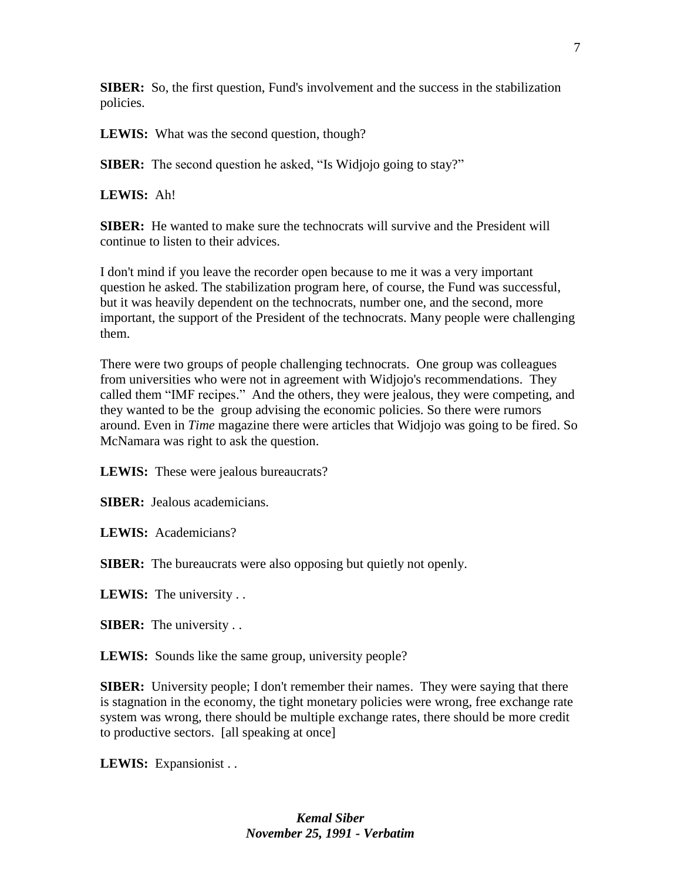**SIBER:** So, the first question, Fund's involvement and the success in the stabilization policies.

**LEWIS:** What was the second question, though?

**SIBER:** The second question he asked, "Is Widjojo going to stay?"

**LEWIS:** Ah!

**SIBER:** He wanted to make sure the technocrats will survive and the President will continue to listen to their advices.

I don't mind if you leave the recorder open because to me it was a very important question he asked. The stabilization program here, of course, the Fund was successful, but it was heavily dependent on the technocrats, number one, and the second, more important, the support of the President of the technocrats. Many people were challenging them.

There were two groups of people challenging technocrats. One group was colleagues from universities who were not in agreement with Widjojo's recommendations. They called them "IMF recipes." And the others, they were jealous, they were competing, and they wanted to be the group advising the economic policies. So there were rumors around. Even in *Time* magazine there were articles that Widjojo was going to be fired. So McNamara was right to ask the question.

**LEWIS:** These were jealous bureaucrats?

**SIBER:** Jealous academicians.

**LEWIS:** Academicians?

**SIBER:** The bureaucrats were also opposing but quietly not openly.

**LEWIS:** The university . .

**SIBER:** The university . .

LEWIS: Sounds like the same group, university people?

**SIBER:** University people; I don't remember their names. They were saying that there is stagnation in the economy, the tight monetary policies were wrong, free exchange rate system was wrong, there should be multiple exchange rates, there should be more credit to productive sectors. [all speaking at once]

**LEWIS:** Expansionist . .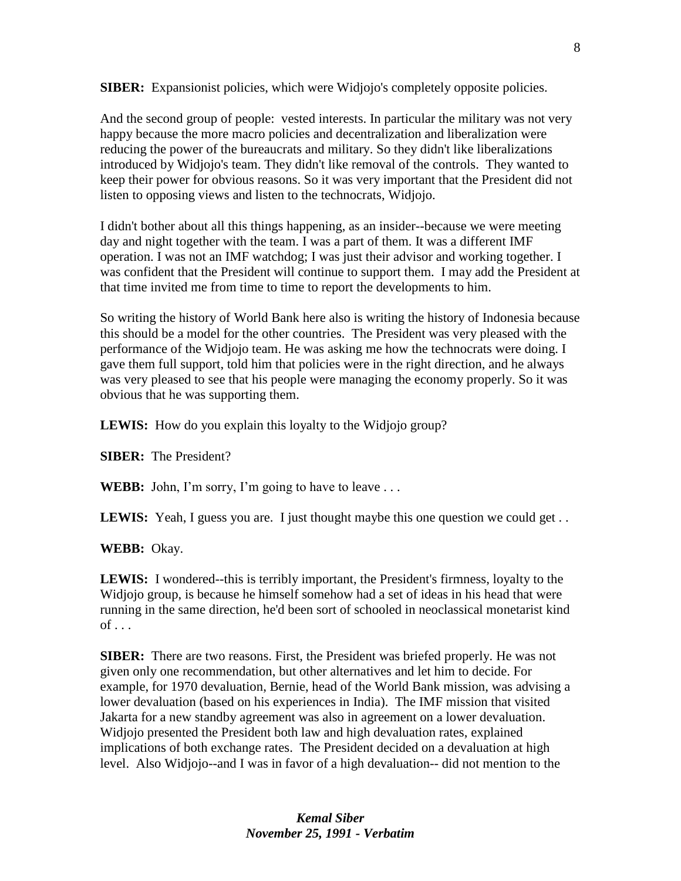**SIBER:** Expansionist policies, which were Widjojo's completely opposite policies.

And the second group of people: vested interests. In particular the military was not very happy because the more macro policies and decentralization and liberalization were reducing the power of the bureaucrats and military. So they didn't like liberalizations introduced by Widjojo's team. They didn't like removal of the controls. They wanted to keep their power for obvious reasons. So it was very important that the President did not listen to opposing views and listen to the technocrats, Widjojo.

I didn't bother about all this things happening, as an insider--because we were meeting day and night together with the team. I was a part of them. It was a different IMF operation. I was not an IMF watchdog; I was just their advisor and working together. I was confident that the President will continue to support them. I may add the President at that time invited me from time to time to report the developments to him.

So writing the history of World Bank here also is writing the history of Indonesia because this should be a model for the other countries. The President was very pleased with the performance of the Widjojo team. He was asking me how the technocrats were doing. I gave them full support, told him that policies were in the right direction, and he always was very pleased to see that his people were managing the economy properly. So it was obvious that he was supporting them.

LEWIS: How do you explain this loyalty to the Widjojo group?

**SIBER:** The President?

**WEBB:** John, I'm sorry, I'm going to have to leave . . .

**LEWIS:** Yeah, I guess you are. I just thought maybe this one question we could get...

**WEBB:** Okay.

**LEWIS:** I wondered--this is terribly important, the President's firmness, loyalty to the Widjojo group, is because he himself somehow had a set of ideas in his head that were running in the same direction, he'd been sort of schooled in neoclassical monetarist kind  $of \ldots$ 

**SIBER:** There are two reasons. First, the President was briefed properly. He was not given only one recommendation, but other alternatives and let him to decide. For example, for 1970 devaluation, Bernie, head of the World Bank mission, was advising a lower devaluation (based on his experiences in India). The IMF mission that visited Jakarta for a new standby agreement was also in agreement on a lower devaluation. Widjojo presented the President both law and high devaluation rates, explained implications of both exchange rates. The President decided on a devaluation at high level. Also Widjojo--and I was in favor of a high devaluation-- did not mention to the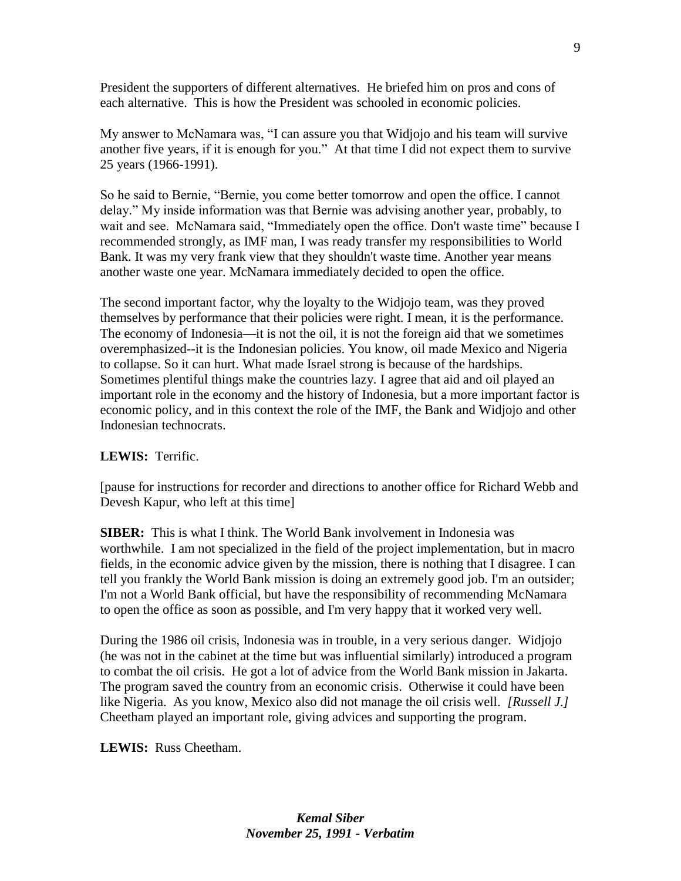President the supporters of different alternatives. He briefed him on pros and cons of each alternative. This is how the President was schooled in economic policies.

My answer to McNamara was, "I can assure you that Widjojo and his team will survive another five years, if it is enough for you." At that time I did not expect them to survive 25 years (1966-1991).

So he said to Bernie, "Bernie, you come better tomorrow and open the office. I cannot delay." My inside information was that Bernie was advising another year, probably, to wait and see. McNamara said, "Immediately open the office. Don't waste time" because I recommended strongly, as IMF man, I was ready transfer my responsibilities to World Bank. It was my very frank view that they shouldn't waste time. Another year means another waste one year. McNamara immediately decided to open the office.

The second important factor, why the loyalty to the Widjojo team, was they proved themselves by performance that their policies were right. I mean, it is the performance. The economy of Indonesia—it is not the oil, it is not the foreign aid that we sometimes overemphasized--it is the Indonesian policies. You know, oil made Mexico and Nigeria to collapse. So it can hurt. What made Israel strong is because of the hardships. Sometimes plentiful things make the countries lazy. I agree that aid and oil played an important role in the economy and the history of Indonesia, but a more important factor is economic policy, and in this context the role of the IMF, the Bank and Widjojo and other Indonesian technocrats.

## **LEWIS:** Terrific.

[pause for instructions for recorder and directions to another office for Richard Webb and Devesh Kapur, who left at this time]

**SIBER:** This is what I think. The World Bank involvement in Indonesia was worthwhile. I am not specialized in the field of the project implementation, but in macro fields, in the economic advice given by the mission, there is nothing that I disagree. I can tell you frankly the World Bank mission is doing an extremely good job. I'm an outsider; I'm not a World Bank official, but have the responsibility of recommending McNamara to open the office as soon as possible, and I'm very happy that it worked very well.

During the 1986 oil crisis, Indonesia was in trouble, in a very serious danger. Widjojo (he was not in the cabinet at the time but was influential similarly) introduced a program to combat the oil crisis. He got a lot of advice from the World Bank mission in Jakarta. The program saved the country from an economic crisis. Otherwise it could have been like Nigeria. As you know, Mexico also did not manage the oil crisis well. *[Russell J.]*  Cheetham played an important role, giving advices and supporting the program.

**LEWIS:** Russ Cheetham.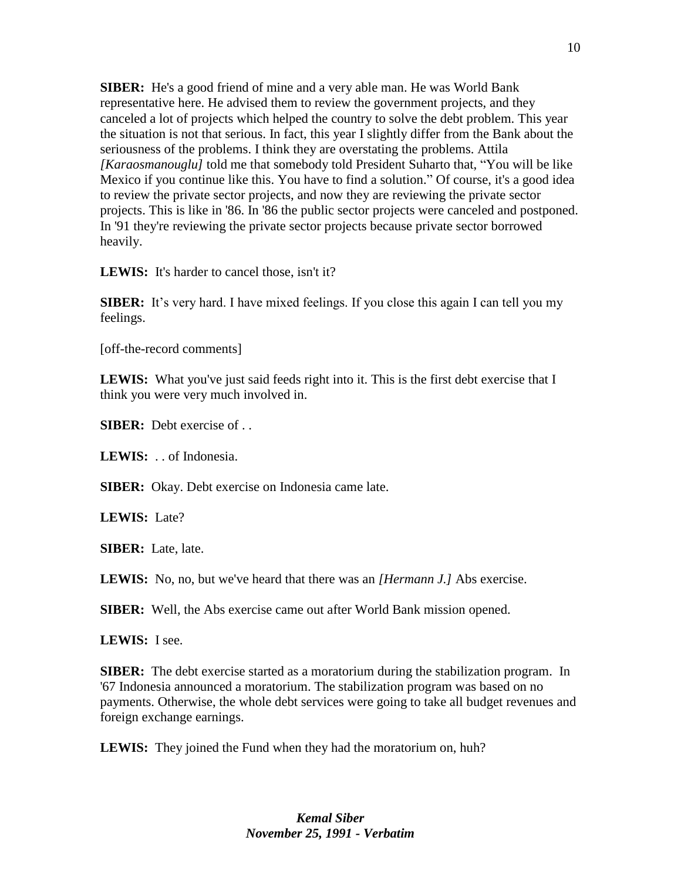**SIBER:** He's a good friend of mine and a very able man. He was World Bank representative here. He advised them to review the government projects, and they canceled a lot of projects which helped the country to solve the debt problem. This year the situation is not that serious. In fact, this year I slightly differ from the Bank about the seriousness of the problems. I think they are overstating the problems. Attila *[Karaosmanouglu]* told me that somebody told President Suharto that, "You will be like Mexico if you continue like this. You have to find a solution." Of course, it's a good idea to review the private sector projects, and now they are reviewing the private sector projects. This is like in '86. In '86 the public sector projects were canceled and postponed. In '91 they're reviewing the private sector projects because private sector borrowed heavily.

**LEWIS:** It's harder to cancel those, isn't it?

**SIBER:** It's very hard. I have mixed feelings. If you close this again I can tell you my feelings.

[off-the-record comments]

LEWIS: What you've just said feeds right into it. This is the first debt exercise that I think you were very much involved in.

**SIBER:** Debt exercise of ...

**LEWIS:** . . of Indonesia.

**SIBER:** Okay. Debt exercise on Indonesia came late.

**LEWIS:** Late?

**SIBER:** Late, late.

**LEWIS:** No, no, but we've heard that there was an *[Hermann J.]* Abs exercise.

**SIBER:** Well, the Abs exercise came out after World Bank mission opened.

**LEWIS:** I see.

**SIBER:** The debt exercise started as a moratorium during the stabilization program. In '67 Indonesia announced a moratorium. The stabilization program was based on no payments. Otherwise, the whole debt services were going to take all budget revenues and foreign exchange earnings.

**LEWIS:** They joined the Fund when they had the moratorium on, huh?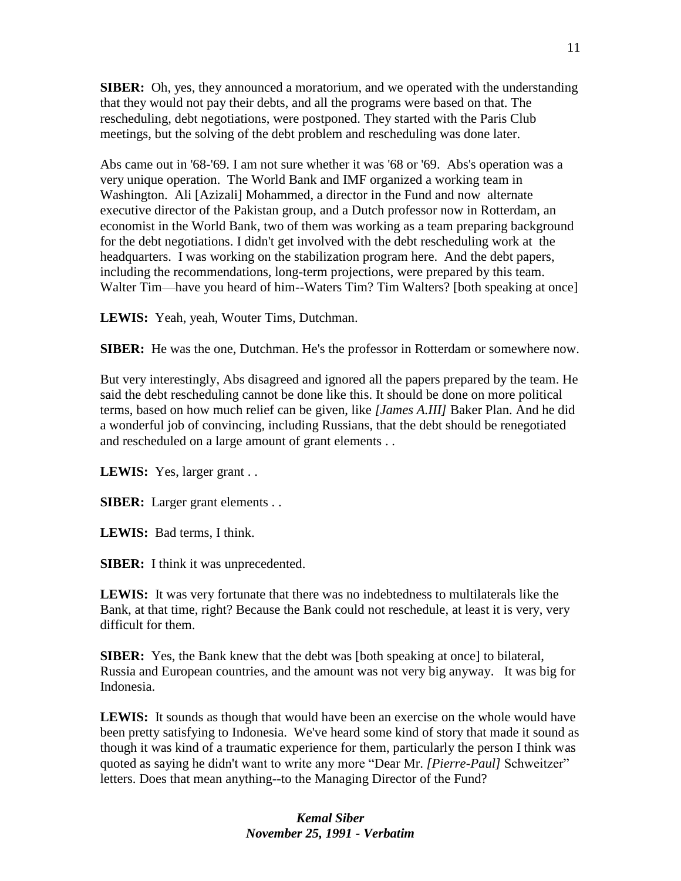**SIBER:** Oh, yes, they announced a moratorium, and we operated with the understanding that they would not pay their debts, and all the programs were based on that. The rescheduling, debt negotiations, were postponed. They started with the Paris Club meetings, but the solving of the debt problem and rescheduling was done later.

Abs came out in '68-'69. I am not sure whether it was '68 or '69. Abs's operation was a very unique operation. The World Bank and IMF organized a working team in Washington. Ali [Azizali] Mohammed, a director in the Fund and now alternate executive director of the Pakistan group, and a Dutch professor now in Rotterdam, an economist in the World Bank, two of them was working as a team preparing background for the debt negotiations. I didn't get involved with the debt rescheduling work at the headquarters. I was working on the stabilization program here. And the debt papers, including the recommendations, long-term projections, were prepared by this team. Walter Tim—have you heard of him--Waters Tim? Tim Walters? [both speaking at once]

**LEWIS:** Yeah, yeah, Wouter Tims, Dutchman.

**SIBER:** He was the one, Dutchman. He's the professor in Rotterdam or somewhere now.

But very interestingly, Abs disagreed and ignored all the papers prepared by the team. He said the debt rescheduling cannot be done like this. It should be done on more political terms, based on how much relief can be given, like *[James A.III]* Baker Plan. And he did a wonderful job of convincing, including Russians, that the debt should be renegotiated and rescheduled on a large amount of grant elements . .

**LEWIS:** Yes, larger grant . .

**SIBER:** Larger grant elements . .

**LEWIS:** Bad terms, I think.

**SIBER:** I think it was unprecedented.

LEWIS: It was very fortunate that there was no indebtedness to multilaterals like the Bank, at that time, right? Because the Bank could not reschedule, at least it is very, very difficult for them.

**SIBER:** Yes, the Bank knew that the debt was [both speaking at once] to bilateral, Russia and European countries, and the amount was not very big anyway. It was big for Indonesia.

**LEWIS:** It sounds as though that would have been an exercise on the whole would have been pretty satisfying to Indonesia. We've heard some kind of story that made it sound as though it was kind of a traumatic experience for them, particularly the person I think was quoted as saying he didn't want to write any more "Dear Mr. *[Pierre-Paul]* Schweitzer" letters. Does that mean anything--to the Managing Director of the Fund?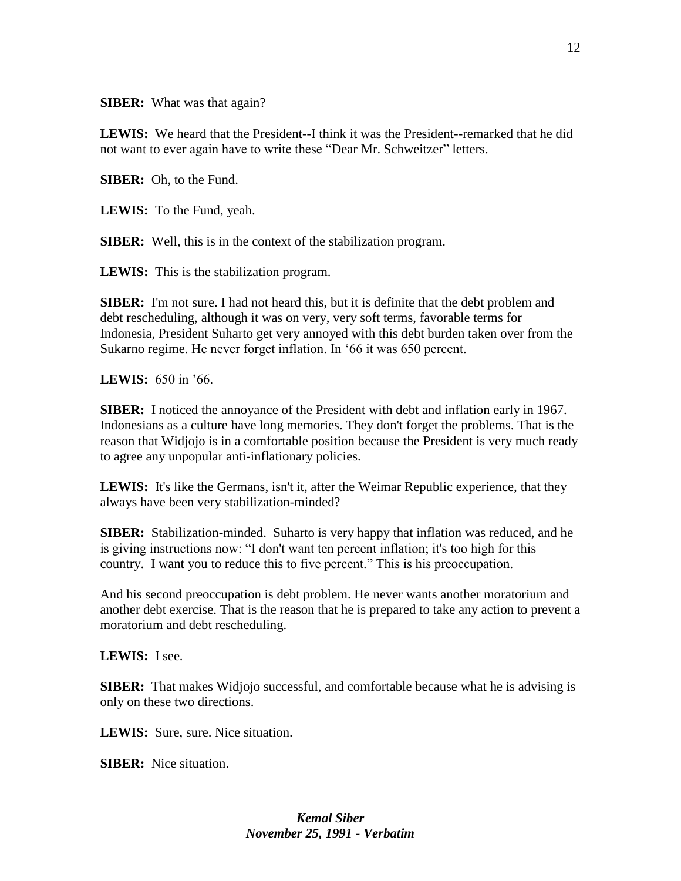**SIBER:** What was that again?

**LEWIS:** We heard that the President--I think it was the President--remarked that he did not want to ever again have to write these "Dear Mr. Schweitzer" letters.

**SIBER:** Oh, to the Fund.

**LEWIS:** To the Fund, yeah.

**SIBER:** Well, this is in the context of the stabilization program.

**LEWIS:** This is the stabilization program.

**SIBER:** I'm not sure. I had not heard this, but it is definite that the debt problem and debt rescheduling, although it was on very, very soft terms, favorable terms for Indonesia, President Suharto get very annoyed with this debt burden taken over from the Sukarno regime. He never forget inflation. In '66 it was 650 percent.

**LEWIS:** 650 in '66.

**SIBER:** I noticed the annoyance of the President with debt and inflation early in 1967. Indonesians as a culture have long memories. They don't forget the problems. That is the reason that Widjojo is in a comfortable position because the President is very much ready to agree any unpopular anti-inflationary policies.

**LEWIS:** It's like the Germans, isn't it, after the Weimar Republic experience, that they always have been very stabilization-minded?

**SIBER:** Stabilization-minded. Suharto is very happy that inflation was reduced, and he is giving instructions now: "I don't want ten percent inflation; it's too high for this country. I want you to reduce this to five percent." This is his preoccupation.

And his second preoccupation is debt problem. He never wants another moratorium and another debt exercise. That is the reason that he is prepared to take any action to prevent a moratorium and debt rescheduling.

**LEWIS:** I see.

**SIBER:** That makes Widjojo successful, and comfortable because what he is advising is only on these two directions.

**LEWIS:** Sure, sure. Nice situation.

**SIBER:** Nice situation.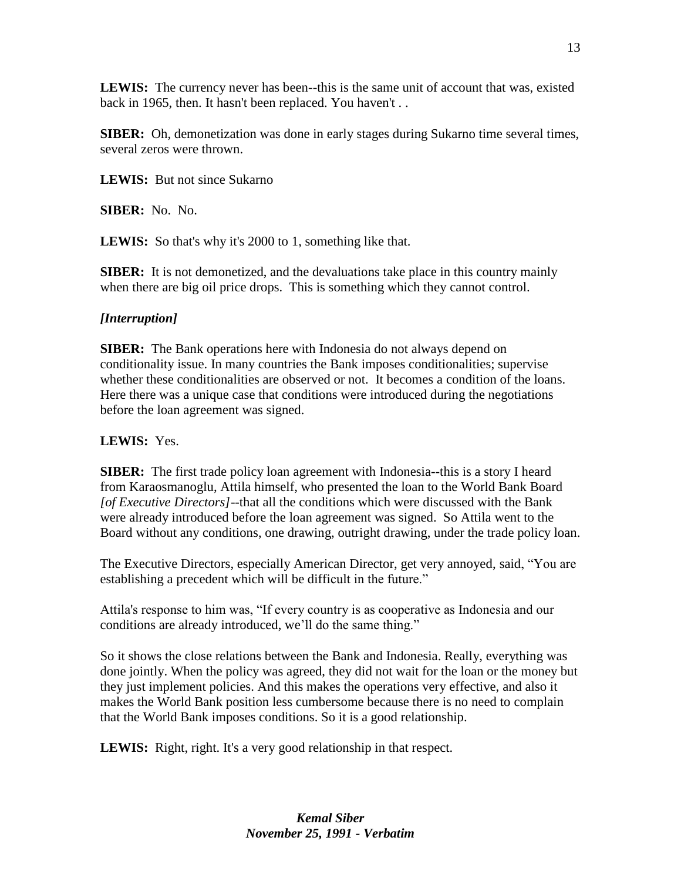**LEWIS:** The currency never has been--this is the same unit of account that was, existed back in 1965, then. It hasn't been replaced. You haven't . .

**SIBER:** Oh, demonetization was done in early stages during Sukarno time several times, several zeros were thrown.

**LEWIS:** But not since Sukarno

**SIBER:** No. No.

**LEWIS:** So that's why it's 2000 to 1, something like that.

**SIBER:** It is not demonetized, and the devaluations take place in this country mainly when there are big oil price drops. This is something which they cannot control.

### *[Interruption]*

**SIBER:** The Bank operations here with Indonesia do not always depend on conditionality issue. In many countries the Bank imposes conditionalities; supervise whether these conditionalities are observed or not. It becomes a condition of the loans. Here there was a unique case that conditions were introduced during the negotiations before the loan agreement was signed.

### **LEWIS:** Yes.

**SIBER:** The first trade policy loan agreement with Indonesia--this is a story I heard from Karaosmanoglu, Attila himself, who presented the loan to the World Bank Board *[of Executive Directors]*--that all the conditions which were discussed with the Bank were already introduced before the loan agreement was signed. So Attila went to the Board without any conditions, one drawing, outright drawing, under the trade policy loan.

The Executive Directors, especially American Director, get very annoyed, said, "You are establishing a precedent which will be difficult in the future."

Attila's response to him was, "If every country is as cooperative as Indonesia and our conditions are already introduced, we'll do the same thing."

So it shows the close relations between the Bank and Indonesia. Really, everything was done jointly. When the policy was agreed, they did not wait for the loan or the money but they just implement policies. And this makes the operations very effective, and also it makes the World Bank position less cumbersome because there is no need to complain that the World Bank imposes conditions. So it is a good relationship.

**LEWIS:** Right, right. It's a very good relationship in that respect.